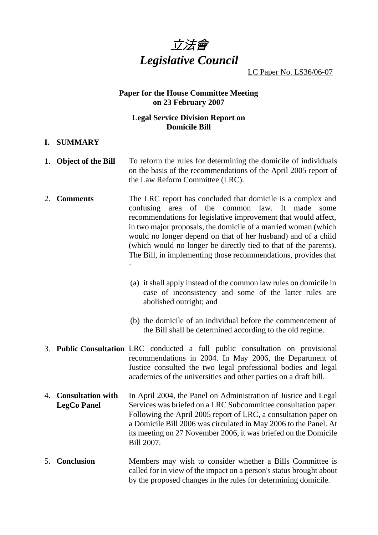

LC Paper No. LS36/06-07

## **Paper for the House Committee Meeting on 23 February 2007**

## **Legal Service Division Report on Domicile Bill**

#### **I. SUMMARY**

- 1. **Object of the Bill** To reform the rules for determining the domicile of individuals on the basis of the recommendations of the April 2005 report of the Law Reform Committee (LRC).
- 2. **Comments** The LRC report has concluded that domicile is a complex and confusing area of the common law. It made some recommendations for legislative improvement that would affect, in two major proposals, the domicile of a married woman (which would no longer depend on that of her husband) and of a child (which would no longer be directly tied to that of the parents). The Bill, in implementing those recommendations, provides that -
	- (a) it shall apply instead of the common law rules on domicile in case of inconsistency and some of the latter rules are abolished outright; and
	- (b) the domicile of an individual before the commencement of the Bill shall be determined according to the old regime.
- 3. **Public Consultation** LRC conducted a full public consultation on provisional recommendations in 2004. In May 2006, the Department of Justice consulted the two legal professional bodies and legal academics of the universities and other parties on a draft bill.
- 4. **Consultation with LegCo Panel**  In April 2004, the Panel on Administration of Justice and Legal Services was briefed on a LRC Subcommittee consultation paper. Following the April 2005 report of LRC, a consultation paper on a Domicile Bill 2006 was circulated in May 2006 to the Panel. At its meeting on 27 November 2006, it was briefed on the Domicile Bill 2007.
- 5. **Conclusion** Members may wish to consider whether a Bills Committee is called for in view of the impact on a person's status brought about by the proposed changes in the rules for determining domicile.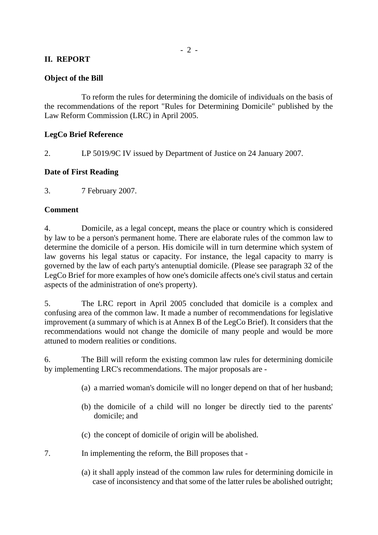### **II. REPORT**

#### **Object of the Bill**

 To reform the rules for determining the domicile of individuals on the basis of the recommendations of the report "Rules for Determining Domicile" published by the Law Reform Commission (LRC) in April 2005.

#### **LegCo Brief Reference**

2. LP 5019/9C IV issued by Department of Justice on 24 January 2007.

#### **Date of First Reading**

3. 7 February 2007.

#### **Comment**

4. Domicile, as a legal concept, means the place or country which is considered by law to be a person's permanent home. There are elaborate rules of the common law to determine the domicile of a person. His domicile will in turn determine which system of law governs his legal status or capacity. For instance, the legal capacity to marry is governed by the law of each party's antenuptial domicile. (Please see paragraph 32 of the LegCo Brief for more examples of how one's domicile affects one's civil status and certain aspects of the administration of one's property).

5. The LRC report in April 2005 concluded that domicile is a complex and confusing area of the common law. It made a number of recommendations for legislative improvement (a summary of which is at Annex B of the LegCo Brief). It considers that the recommendations would not change the domicile of many people and would be more attuned to modern realities or conditions.

6. The Bill will reform the existing common law rules for determining domicile by implementing LRC's recommendations. The major proposals are -

- (a) a married woman's domicile will no longer depend on that of her husband;
- (b) the domicile of a child will no longer be directly tied to the parents' domicile; and
- (c) the concept of domicile of origin will be abolished.
- 7. In implementing the reform, the Bill proposes that
	- (a) it shall apply instead of the common law rules for determining domicile in case of inconsistency and that some of the latter rules be abolished outright;